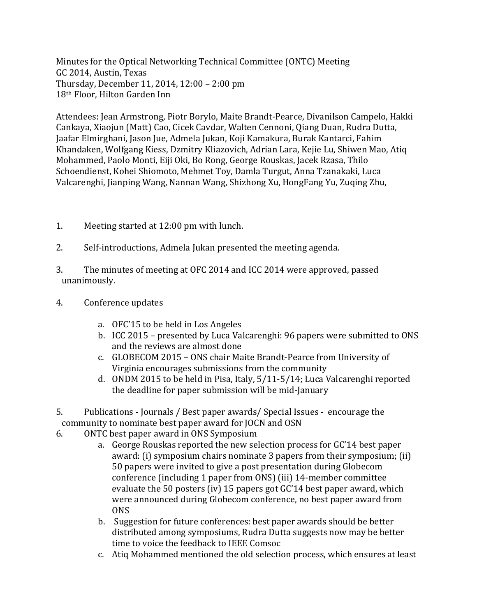Minutes for the Optical Networking Technical Committee (ONTC) Meeting GC 2014, Austin, Texas Thursday, December 11, 2014, 12:00 – 2:00 pm 18th Floor, Hilton Garden Inn

Attendees: Jean Armstrong, Piotr Borylo, Maite Brandt-Pearce, Divanilson Campelo, Hakki Cankaya, Xiaojun (Matt) Cao, Cicek Cavdar, Walten Cennoni, Qiang Duan, Rudra Dutta, Jaafar Elmirghani, Jason Jue, Admela Jukan, Koji Kamakura, Burak Kantarci, Fahim Khandaken, Wolfgang Kiess, Dzmitry Kliazovich, Adrian Lara, Kejie Lu, Shiwen Mao, Atiq Mohammed, Paolo Monti, Eiji Oki, Bo Rong, George Rouskas, Jacek Rzasa, Thilo Schoendienst, Kohei Shiomoto, Mehmet Toy, Damla Turgut, Anna Tzanakaki, Luca Valcarenghi, Jianping Wang, Nannan Wang, Shizhong Xu, HongFang Yu, Zuqing Zhu,

- 1. Meeting started at 12:00 pm with lunch.
- 2. Self-introductions, Admela Jukan presented the meeting agenda.
- 3. The minutes of meeting at OFC 2014 and ICC 2014 were approved, passed unanimously.
- 4. Conference updates
	- a. OFC'15 to be held in Los Angeles
	- b. ICC 2015 presented by Luca Valcarenghi: 96 papers were submitted to ONS and the reviews are almost done
	- c. GLOBECOM 2015 ONS chair Maite Brandt-Pearce from University of Virginia encourages submissions from the community
	- d. ONDM 2015 to be held in Pisa, Italy, 5/11-5/14; Luca Valcarenghi reported the deadline for paper submission will be mid-January
- 5. Publications Journals / Best paper awards/ Special Issues encourage the community to nominate best paper award for JOCN and OSN
- 6. ONTC best paper award in ONS Symposium
	- a. George Rouskas reported the new selection process for GC'14 best paper award: (i) symposium chairs nominate 3 papers from their symposium; (ii) 50 papers were invited to give a post presentation during Globecom conference (including 1 paper from ONS) (iii) 14-member committee evaluate the 50 posters (iv) 15 papers got GC'14 best paper award, which were announced during Globecom conference, no best paper award from ONS
	- b. Suggestion for future conferences: best paper awards should be better distributed among symposiums, Rudra Dutta suggests now may be better time to voice the feedback to IEEE Comsoc
	- c. Atiq Mohammed mentioned the old selection process, which ensures at least